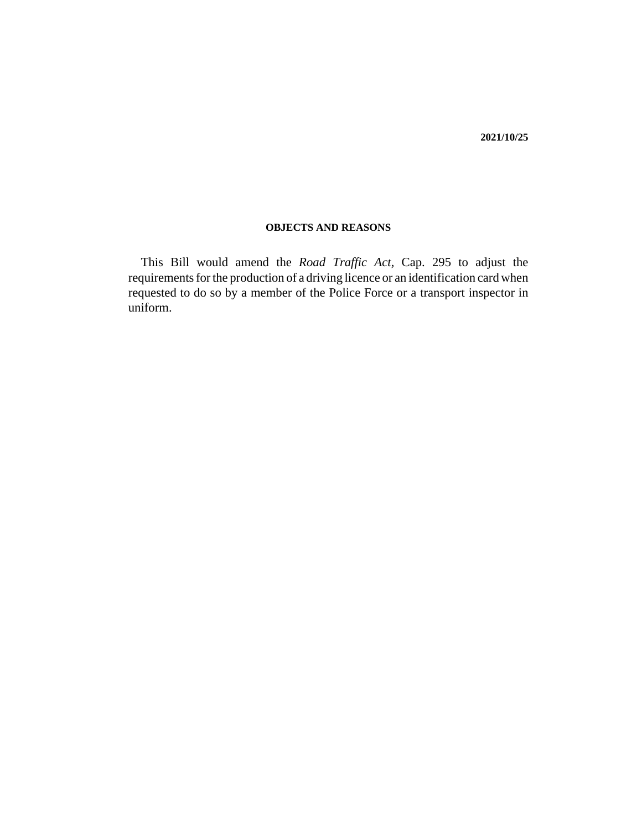### **OBJECTS AND REASONS**

This Bill would amend the *Road Traffic Act,* Cap. 295 to adjust the requirements for the production of a driving licence or an identification card when requested to do so by a member of the Police Force or a transport inspector in uniform.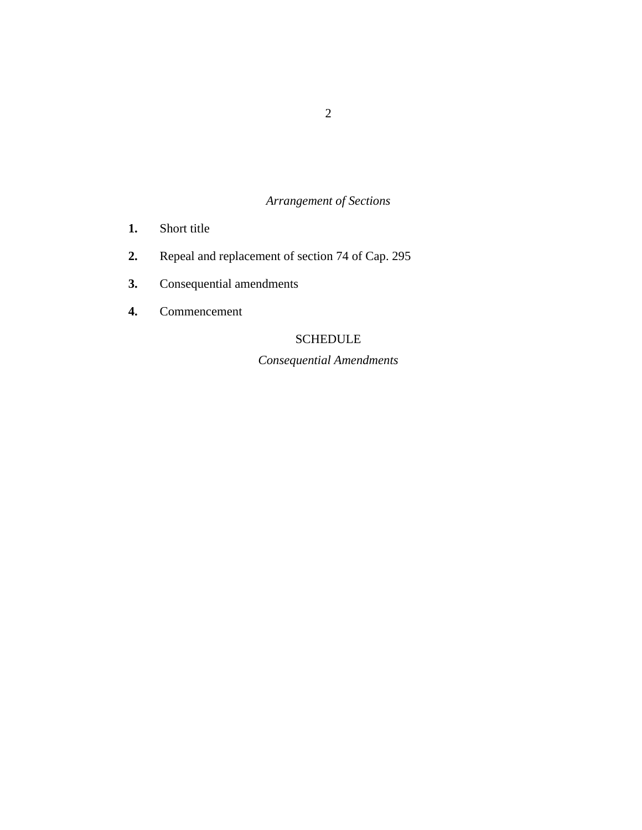# *Arrangement of Sections*

- [Short title](#page-3-0) **1.**
- [Repeal and replacement of section 74 of Cap. 295](#page-3-0) **2.**
- [Consequential amendments](#page-4-0) **3.**
- [Commencement](#page-4-0) **4.**

# SCHEDULE

*Consequential Amendments*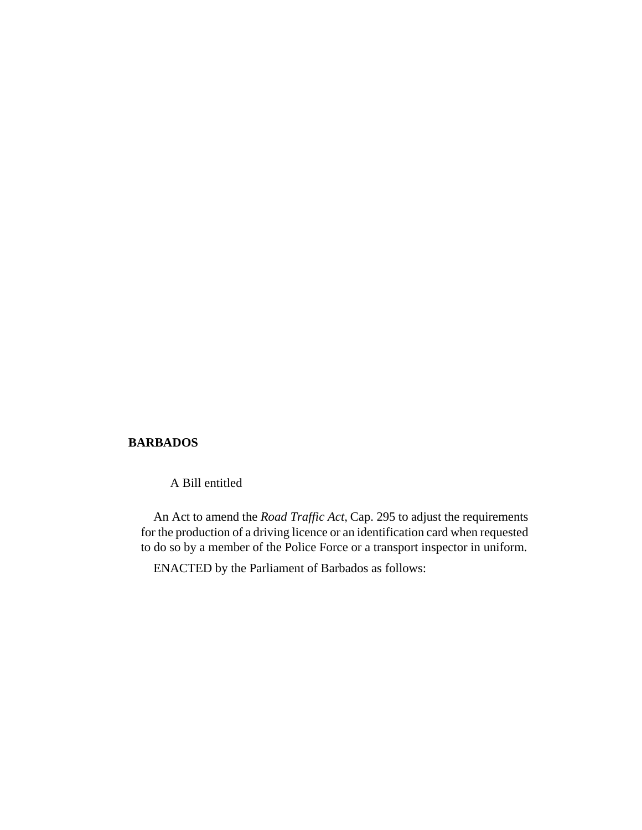### **BARBADOS**

A Bill entitled

An Act to amend the *Road Traffic Act,* Cap. 295 to adjust the requirements for the production of a driving licence or an identification card when requested to do so by a member of the Police Force or a transport inspector in uniform.

ENACTED by the Parliament of Barbados as follows: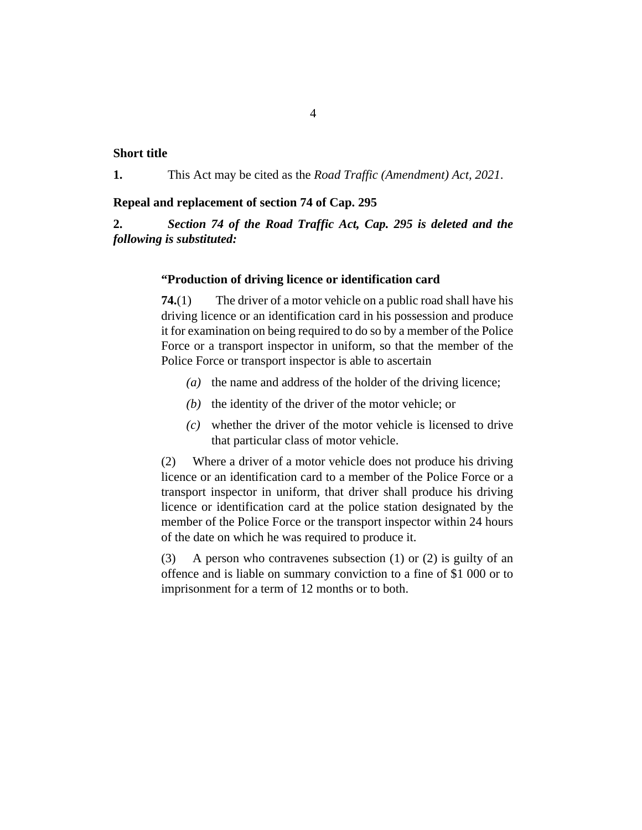### <span id="page-3-0"></span>**Short title**

This Act may be cited as the *Road Traffic (Amendment) Act, 2021*. **1.**

#### **Repeal and replacement of section 74 of Cap. 295**

*Section 74 of the [Road Traffic Act, Cap. 295](http://barbadosparliament-laws.com/en/showdoc/cs/295) is deleted and the following is substituted:* **2.**

#### **"Production of driving licence or identification card**

The driver of a motor vehicle on a public road shall have his driving licence or an identification card in his possession and produce it for examination on being required to do so by a member of the Police Force or a transport inspector in uniform, so that the member of the Police Force or transport inspector is able to ascertain **74.**(1)

- (a) the name and address of the holder of the driving licence;
- $(t)$  the identity of the driver of the motor vehicle; or
- whether the driver of the motor vehicle is licensed to drive *(c)* that particular class of motor vehicle.

Where a driver of a motor vehicle does not produce his driving licence or an identification card to a member of the Police Force or a transport inspector in uniform, that driver shall produce his driving licence or identification card at the police station designated by the member of the Police Force or the transport inspector within 24 hours of the date on which he was required to produce it. (2)

A person who contravenes subsection (1) or (2) is guilty of an offence and is liable on summary conviction to a fine of \$1 000 or to imprisonment for a term of 12 months or to both. (3)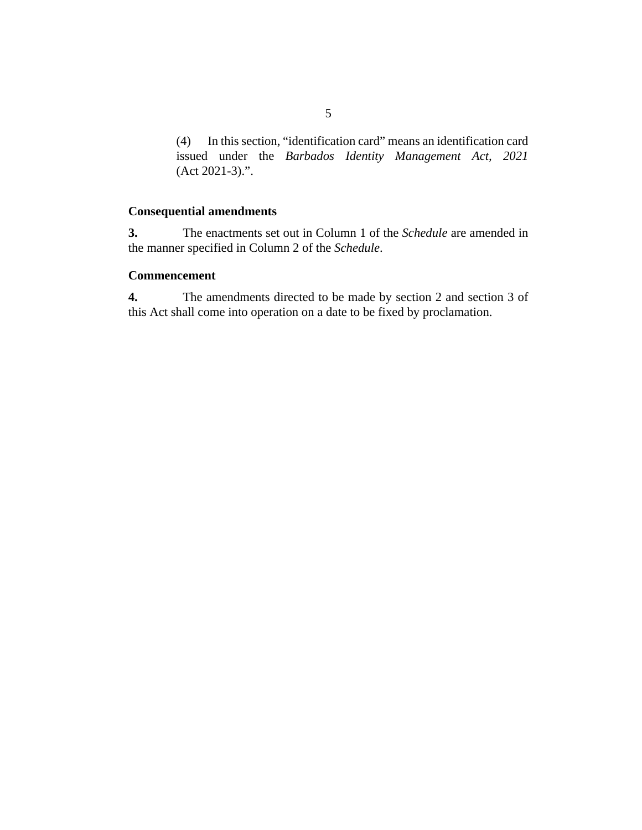<span id="page-4-0"></span>In this section, "identification card" means an identification card (4) issued under the *[Barbados Identity Management Act, 2021](http://barbadosparliament-laws.com/en/showdoc/cs/2021_3)* [\(Act 2021-3\).](http://barbadosparliament-laws.com/en/showdoc/cs/2021_3)".

### **Consequential amendments**

The enactments set out in Column 1 of the *Schedule* are amended in the manner specified in Column 2 of the *Schedule*. **3.**

### **Commencement**

The amendments directed to be made by section 2 and section 3 of this Act shall come into operation on a date to be fixed by proclamation. **4.**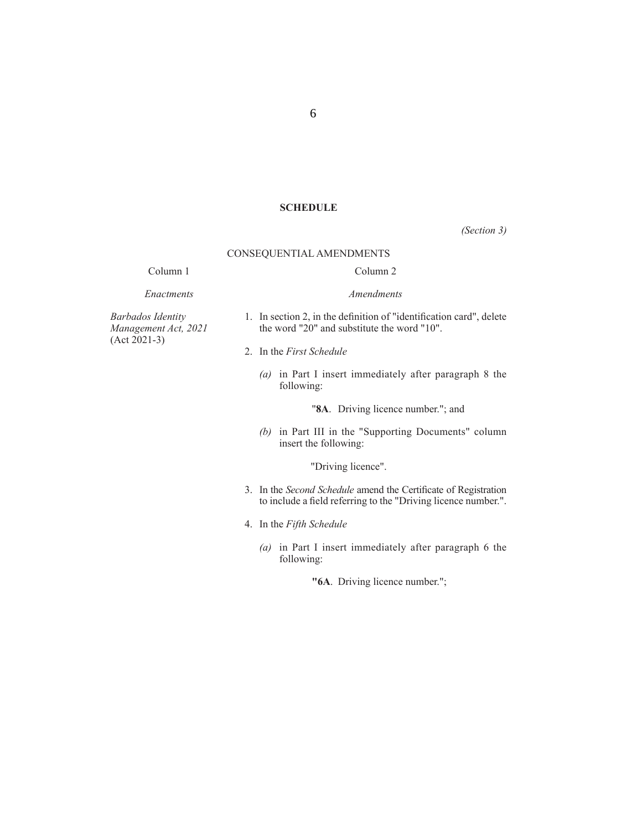#### **SCHEDULE**

*(Section 3)*

#### CONSEQUENTIAL AMENDMENTS

#### Column 1

*Enactments*

# Column 2 *Amendments*

*Barbados Identity Management Act, 2021* (Act 2021-3)

- 1. In section 2, in the definition of "identification card", delete the word "20" and substitute the word "10".
- 2. In the *First Schedule*
	- *(a)* in Part I insert immediately after paragraph 8 the following:

"**8A**. Driving licence number."; and

*(b)* in Part III in the "Supporting Documents" column insert the following:

"Driving licence".

- 3. In the *Second Schedule* amend the Certificate of Registration to include a field referring to the "Driving licence number.".
- 4. In the *Fifth Schedule* 
	- *(a)* in Part I insert immediately after paragraph 6 the following:

**"6A**. Driving licence number.";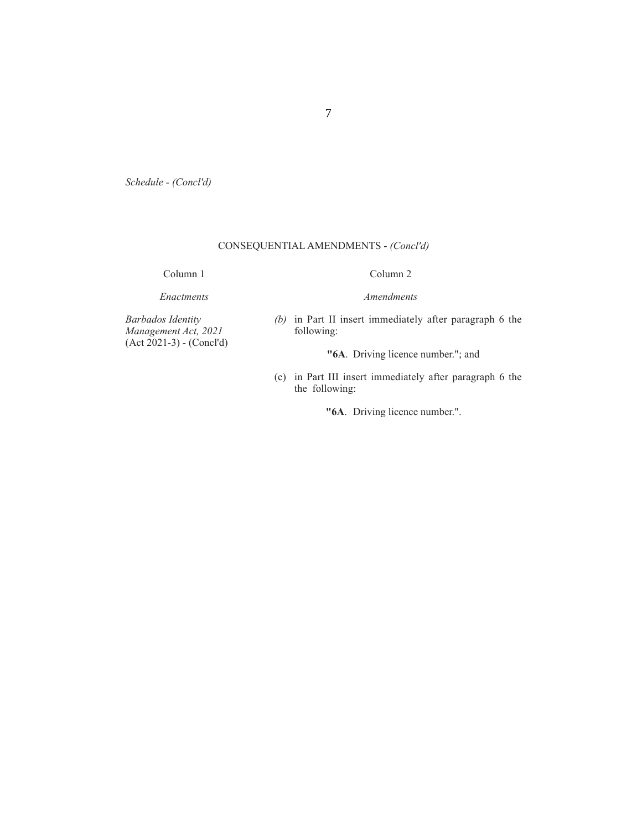*Schedule - (Concl'd)*

### CONSEQUENTIAL AMENDMENTS - *(Concl'd)*

Column 1

# Column 2 *Amendments*

*Enactments*

*(b)* in Part II insert immediately after paragraph 6 the following:

*Barbados Identity Management Act, 2021* (Act 2021-3) - (Concl'd)

**"6A**. Driving licence number."; and

 (c) in Part III insert immediately after paragraph 6 the the following:

**"6A**. Driving licence number.".